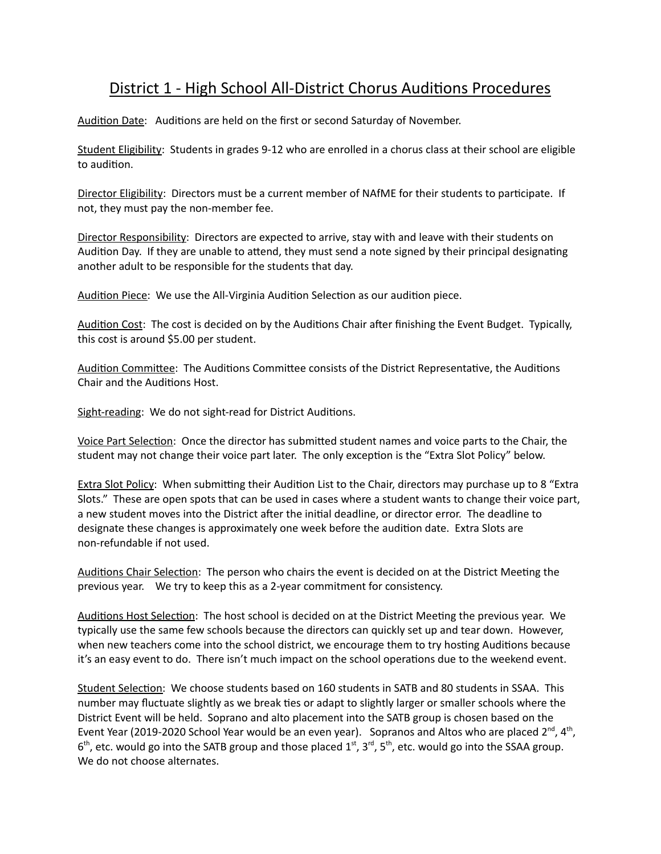## District 1 - High School All-District Chorus Auditions Procedures

Audition Date: Auditions are held on the first or second Saturday of November.

Student Eligibility: Students in grades 9-12 who are enrolled in a chorus class at their school are eligible to audition.

Director Eligibility: Directors must be a current member of NAfME for their students to participate. If not, they must pay the non-member fee.

Director Responsibility: Directors are expected to arrive, stay with and leave with their students on Audition Day. If they are unable to attend, they must send a note signed by their principal designating another adult to be responsible for the students that day.

Audition Piece: We use the All-Virginia Audition Selection as our audition piece.

Audition Cost: The cost is decided on by the Auditions Chair after finishing the Event Budget. Typically, this cost is around \$5.00 per student.

Audition Committee: The Auditions Committee consists of the District Representative, the Auditions Chair and the Auditions Host.

Sight-reading: We do not sight-read for District Auditions.

Voice Part Selection: Once the director has submitted student names and voice parts to the Chair, the student may not change their voice part later. The only exception is the "Extra Slot Policy" below.

Extra Slot Policy: When submitting their Audition List to the Chair, directors may purchase up to 8 "Extra Slots." These are open spots that can be used in cases where a student wants to change their voice part, a new student moves into the District after the initial deadline, or director error. The deadline to designate these changes is approximately one week before the audition date. Extra Slots are non-refundable if not used.

Auditions Chair Selection: The person who chairs the event is decided on at the District Meeting the previous year. We try to keep this as a 2-year commitment for consistency.

Auditions Host Selection: The host school is decided on at the District Meeting the previous year. We typically use the same few schools because the directors can quickly set up and tear down. However, when new teachers come into the school district, we encourage them to try hosting Auditions because it's an easy event to do. There isn't much impact on the school operations due to the weekend event.

Student Selection: We choose students based on 160 students in SATB and 80 students in SSAA. This number may fluctuate slightly as we break ties or adapt to slightly larger or smaller schools where the District Event will be held. Soprano and alto placement into the SATB group is chosen based on the Event Year (2019-2020 School Year would be an even year). Sopranos and Altos who are placed 2<sup>nd</sup>, 4<sup>th</sup>,  $6<sup>th</sup>$ , etc. would go into the SATB group and those placed 1<sup>st</sup>, 3<sup>rd</sup>, 5<sup>th</sup>, etc. would go into the SSAA group. We do not choose alternates.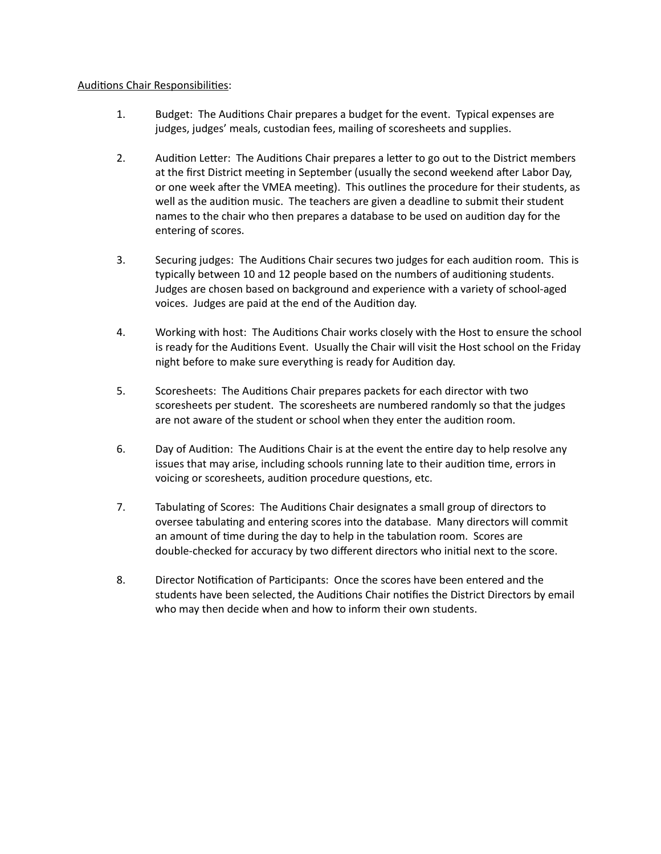## Auditions Chair Responsibilities:

- 1. Budget: The Auditions Chair prepares a budget for the event. Typical expenses are judges, judges' meals, custodian fees, mailing of scoresheets and supplies.
- 2. Audition Letter: The Auditions Chair prepares a letter to go out to the District members at the first District meeting in September (usually the second weekend after Labor Day, or one week after the VMEA meeting). This outlines the procedure for their students, as well as the audition music. The teachers are given a deadline to submit their student names to the chair who then prepares a database to be used on audition day for the entering of scores.
- 3. Securing judges: The Auditions Chair secures two judges for each audition room. This is typically between 10 and 12 people based on the numbers of auditioning students. Judges are chosen based on background and experience with a variety of school-aged voices. Judges are paid at the end of the Audition day.
- 4. Working with host: The Auditions Chair works closely with the Host to ensure the school is ready for the Auditions Event. Usually the Chair will visit the Host school on the Friday night before to make sure everything is ready for Audition day.
- 5. Scoresheets: The Auditions Chair prepares packets for each director with two scoresheets per student. The scoresheets are numbered randomly so that the judges are not aware of the student or school when they enter the audition room.
- 6. Day of Audition: The Auditions Chair is at the event the entire day to help resolve any issues that may arise, including schools running late to their audition time, errors in voicing or scoresheets, audition procedure questions, etc.
- 7. Tabulating of Scores: The Auditions Chair designates a small group of directors to oversee tabulating and entering scores into the database. Many directors will commit an amount of time during the day to help in the tabulation room. Scores are double-checked for accuracy by two different directors who initial next to the score.
- 8. Director Notification of Participants: Once the scores have been entered and the students have been selected, the Auditions Chair notifies the District Directors by email who may then decide when and how to inform their own students.